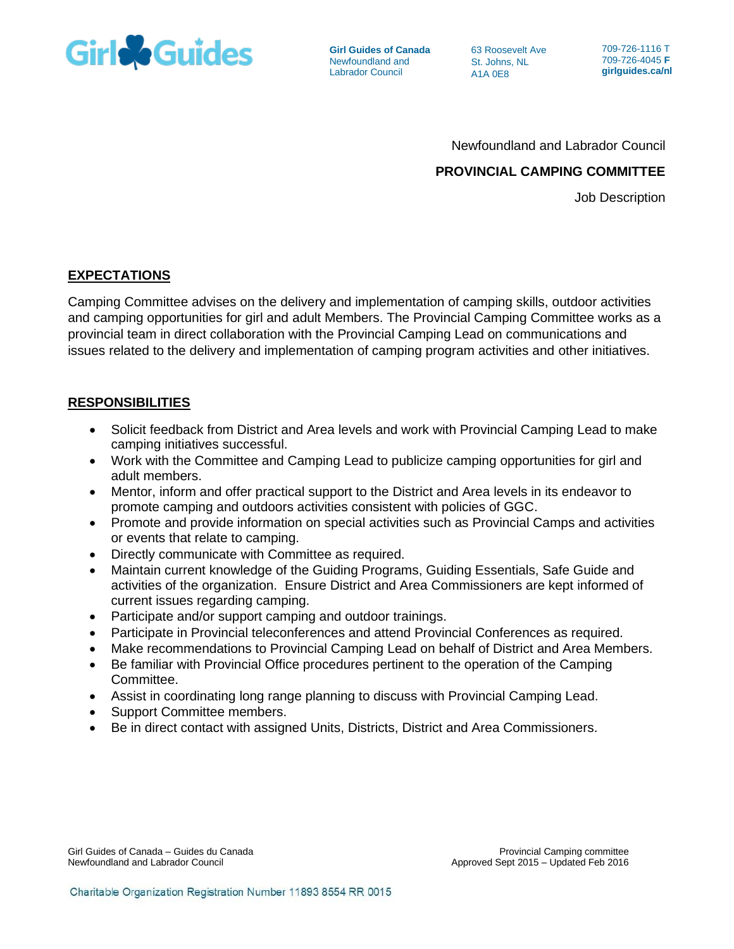

**Girl Guides of Canada** Newfoundland and Labrador Council

63 Roosevelt Ave St. Johns, NL A1A 0E8

709-726-1116 T 709-726-4045 **F girlguides.ca/nl**

Newfoundland and Labrador Council

# **PROVINCIAL CAMPING COMMITTEE**

Job Description

#### **EXPECTATIONS**

Camping Committee advises on the delivery and implementation of camping skills, outdoor activities and camping opportunities for girl and adult Members. The Provincial Camping Committee works as a provincial team in direct collaboration with the Provincial Camping Lead on communications and issues related to the delivery and implementation of camping program activities and other initiatives.

# **RESPONSIBILITIES**

- Solicit feedback from District and Area levels and work with Provincial Camping Lead to make camping initiatives successful.
- Work with the Committee and Camping Lead to publicize camping opportunities for girl and adult members.
- Mentor, inform and offer practical support to the District and Area levels in its endeavor to promote camping and outdoors activities consistent with policies of GGC.
- Promote and provide information on special activities such as Provincial Camps and activities or events that relate to camping.
- Directly communicate with Committee as required.
- Maintain current knowledge of the Guiding Programs, Guiding Essentials, Safe Guide and activities of the organization. Ensure District and Area Commissioners are kept informed of current issues regarding camping.
- Participate and/or support camping and outdoor trainings.
- Participate in Provincial teleconferences and attend Provincial Conferences as required.
- Make recommendations to Provincial Camping Lead on behalf of District and Area Members.
- Be familiar with Provincial Office procedures pertinent to the operation of the Camping Committee.
- Assist in coordinating long range planning to discuss with Provincial Camping Lead.
- Support Committee members.
- Be in direct contact with assigned Units, Districts, District and Area Commissioners.